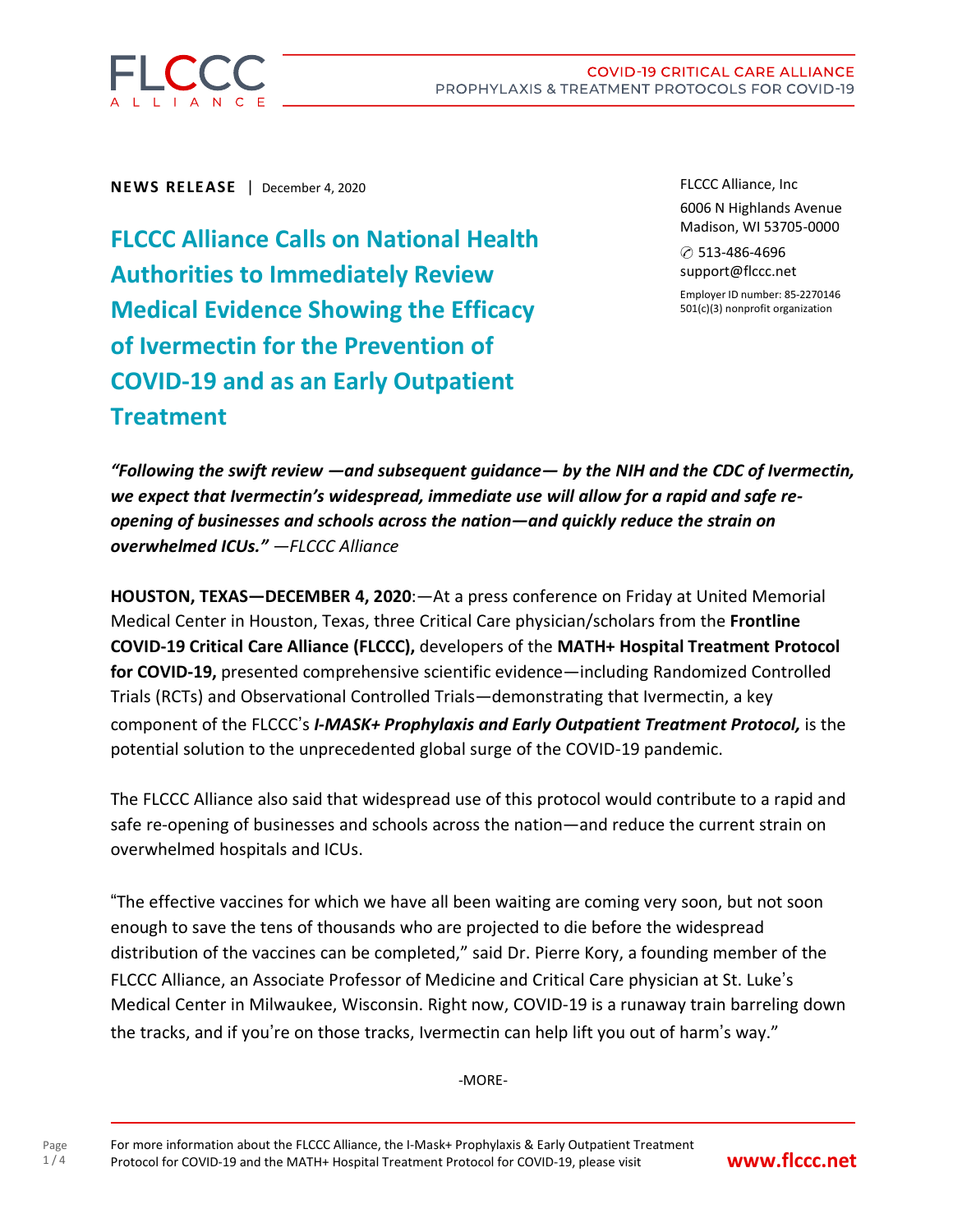

**NEWS RELEASE** | December 4, 2020

**FLCCC Alliance Calls on National Health Authorities to Immediately Review Medical Evidence Showing the Efficacy of Ivermectin for the Prevention of COVID-19 and as an Early Outpatient Treatment**

FLCCC Alliance, Inc 6006 N Highlands Avenue Madison, WI 53705-0000

✆ 513-486-4696 support@flccc.net

Employer ID number: 85-2270146 501(c)(3) nonprofit organization

*"Following the swift review —and subsequent guidance— by the NIH and the CDC of Ivermectin, we expect that Ivermectin's widespread, immediate use will allow for a rapid and safe reopening of businesses and schools across the nation—and quickly reduce the strain on overwhelmed ICUs." —FLCCC Alliance*

**HOUSTON, TEXAS—DECEMBER 4, 2020**:—At a press conference on Friday at United Memorial Medical Center in Houston, Texas, three Critical Care physician/scholars from the **Frontline COVID-19 Critical Care Alliance (FLCCC),** developers of the **MATH+ Hospital Treatment Protocol for COVID-19,** presented comprehensive scientific evidence—including Randomized Controlled Trials (RCTs) and Observational Controlled Trials—demonstrating that Ivermectin, a key component of the FLCCC's *I-MASK+ Prophylaxis and Early Outpatient Treatment Protocol,* is the potential solution to the unprecedented global surge of the COVID-19 pandemic.

The FLCCC Alliance also said that widespread use of this protocol would contribute to a rapid and safe re-opening of businesses and schools across the nation—and reduce the current strain on overwhelmed hospitals and ICUs.

"The effective vaccines for which we have all been waiting are coming very soon, but not soon enough to save the tens of thousands who are projected to die before the widespread distribution of the vaccines can be completed," said Dr. Pierre Kory, a founding member of the FLCCC Alliance, an Associate Professor of Medicine and Critical Care physician at St. Luke's Medical Center in Milwaukee, Wisconsin. Right now, COVID-19 is a runaway train barreling down the tracks, and if you're on those tracks, Ivermectin can help lift you out of harm's way."

-MORE-

Page 1 / 4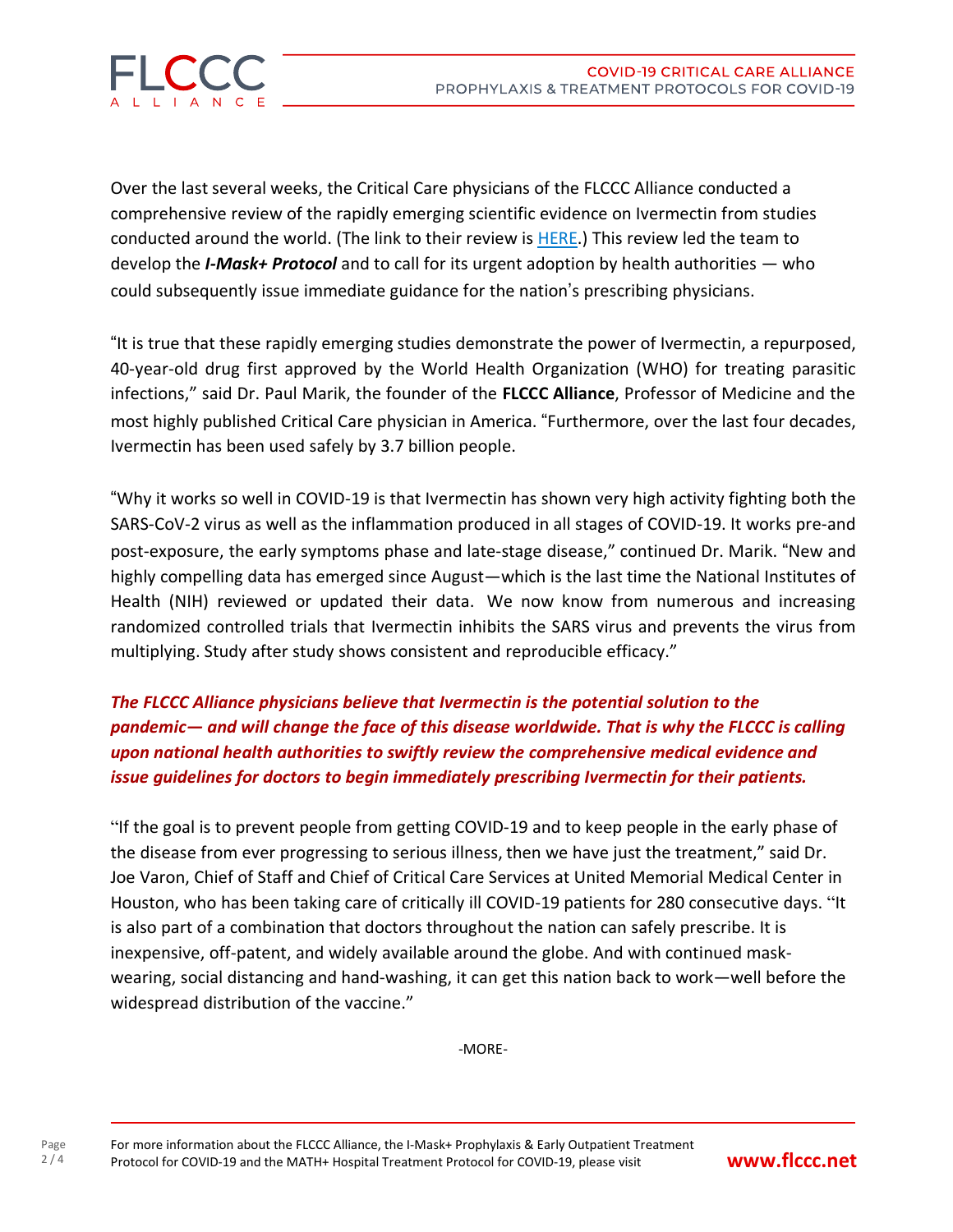

Over the last several weeks, the Critical Care physicians of the FLCCC Alliance conducted a comprehensive review of the rapidly emerging scientific evidence on Ivermectin from studies conducted around the world. (The link to their review is [HERE.](https://covid19criticalcare.com/wp-content/uploads/2020/11/FLCCC-Ivermectin-in-the-prophylaxis-and-treatment-of-COVID-19.pdf)) This review led the team to develop the *I-Mask+ Protocol* and to call for its urgent adoption by health authorities — who could subsequently issue immediate guidance for the nation's prescribing physicians.

"It is true that these rapidly emerging studies demonstrate the power of Ivermectin, a repurposed, 40-year-old drug first approved by the World Health Organization (WHO) for treating parasitic infections," said Dr. Paul Marik, the founder of the **FLCCC Alliance**, Professor of Medicine and the most highly published Critical Care physician in America. "Furthermore, over the last four decades, Ivermectin has been used safely by 3.7 billion people.

"Why it works so well in COVID-19 is that Ivermectin has shown very high activity fighting both the SARS-CoV-2 virus as well as the inflammation produced in all stages of COVID-19. It works pre-and post-exposure, the early symptoms phase and late-stage disease," continued Dr. Marik. "New and highly compelling data has emerged since August—which is the last time the National Institutes of Health (NIH) reviewed or updated their data. We now know from numerous and increasing randomized controlled trials that Ivermectin inhibits the SARS virus and prevents the virus from multiplying. Study after study shows consistent and reproducible efficacy."

## *The FLCCC Alliance physicians believe that Ivermectin is the potential solution to the pandemic— and will change the face of this disease worldwide. That is why the FLCCC is calling upon national health authorities to swiftly review the comprehensive medical evidence and issue guidelines for doctors to begin immediately prescribing Ivermectin for their patients.*

"If the goal is to prevent people from getting COVID-19 and to keep people in the early phase of the disease from ever progressing to serious illness, then we have just the treatment," said Dr. Joe Varon, Chief of Staff and Chief of Critical Care Services at United Memorial Medical Center in Houston, who has been taking care of critically ill COVID-19 patients for 280 consecutive days. "It is also part of a combination that doctors throughout the nation can safely prescribe. It is inexpensive, off-patent, and widely available around the globe. And with continued maskwearing, social distancing and hand-washing, it can get this nation back to work—well before the widespread distribution of the vaccine."

-MORE-

Page  $2/4$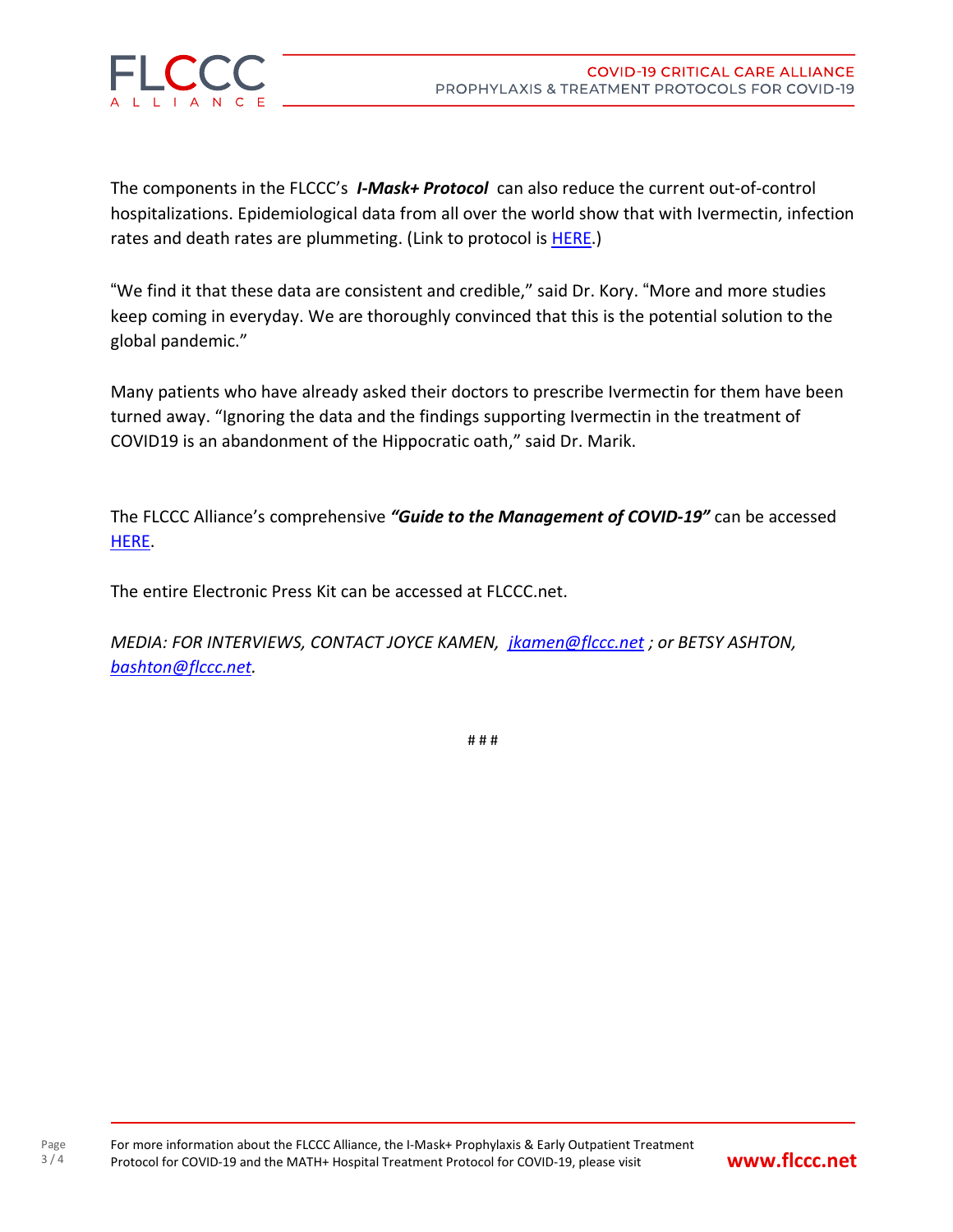



The components in the FLCCC's *I-Mask+ Protocol* can also reduce the current out-of-control hospitalizations. Epidemiological data from all over the world show that with Ivermectin, infection rates and death rates are plummeting. (Link to protocol is [HERE.](https://covid19criticalcare.com/flccc-i-mask-protocol-v5-2020-11-28-english/))

"We find it that these data are consistent and credible," said Dr. Kory. "More and more studies keep coming in everyday. We are thoroughly convinced that this is the potential solution to the global pandemic."

Many patients who have already asked their doctors to prescribe Ivermectin for them have been turned away. "Ignoring the data and the findings supporting Ivermectin in the treatment of COVID19 is an abandonment of the Hippocratic oath," said Dr. Marik.

The FLCCC Alliance's comprehensive *"Guide to the Management of COVID-19"* can be accessed [HERE.](https://covid19criticalcare.com/wp-content/uploads/2020/12/FLCCC-Protocols-%E2%80%93-A-Guide-to-the-Management-of-COVID-19.pdf)

The entire Electronic Press Kit can be accessed at FLCCC.net.

*MEDIA: FOR INTERVIEWS, CONTACT JOYCE KAMEN, [jkamen@flccc.net](mailto:jkamen@flccc.net) ; or BETSY ASHTON, [bashton@flccc.net.](mailto:bashton@flccc.net)*

# # #